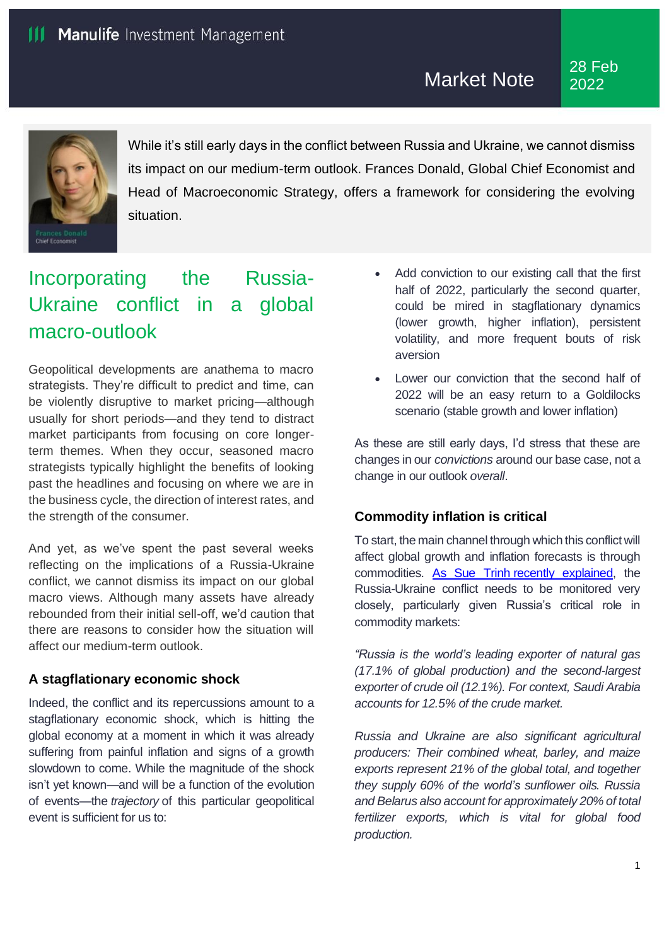

While it's still early days in the conflict between Russia and Ukraine, we cannot dismiss its impact on our medium-term outlook. Frances Donald, Global Chief Economist and Head of Macroeconomic Strategy, offers a framework for considering the evolving situation.

# Incorporating the Russia-Ukraine conflict in a global macro-outlook

Geopolitical developments are anathema to macro strategists. They're difficult to predict and time, can be violently disruptive to market pricing—although usually for short periods—and they tend to distract market participants from focusing on core longerterm themes. When they occur, seasoned macro strategists typically highlight the benefits of looking past the headlines and focusing on where we are in the business cycle, the direction of interest rates, and the strength of the consumer.

And yet, as we've spent the past several weeks reflecting on the implications of a Russia-Ukraine conflict, we cannot dismiss its impact on our global macro views. Although many assets have already rebounded from their initial sell-off, we'd caution that there are reasons to consider how the situation will affect our medium-term outlook.

## **A stagflationary economic shock**

Indeed, the conflict and its repercussions amount to a stagflationary economic shock, which is hitting the global economy at a moment in which it was already suffering from painful inflation and signs of a growth slowdown to come. While the magnitude of the shock isn't yet known—and will be a function of the evolution of events—the *trajectory* of this particular geopolitical event is sufficient for us to:

- Add conviction to our existing call that the first half of 2022, particularly the second quarter, could be mired in stagflationary dynamics (lower growth, higher inflation), persistent volatility, and more frequent bouts of risk aversion
- Lower our conviction that the second half of 2022 will be an easy return to a Goldilocks scenario (stable growth and lower inflation)

As these are still early days, I'd stress that these are changes in our *convictions* around our base case, not a change in our outlook *overall*.

## **Commodity inflation is critical**

To start, the main channel through which this conflict will affect global growth and inflation forecasts is through commodities. [As Sue Trinh](https://www.manulifeinvestment.com.my/insights/economic-impact-of-russia-ukraine-conflict.html) recently explained, the Russia-Ukraine conflict needs to be monitored very closely, particularly given Russia's critical role in commodity markets:

*"Russia is the world's leading exporter of natural gas (17.1% of global production) and the second-largest exporter of crude oil (12.1%). For context, Saudi Arabia accounts for 12.5% of the crude market.*

*Russia and Ukraine are also significant agricultural producers: Their combined wheat, barley, and maize exports represent 21% of the global total, and together they supply 60% of the world's sunflower oils. Russia and Belarus also account for approximately 20% of total fertilizer exports, which is vital for global food production.*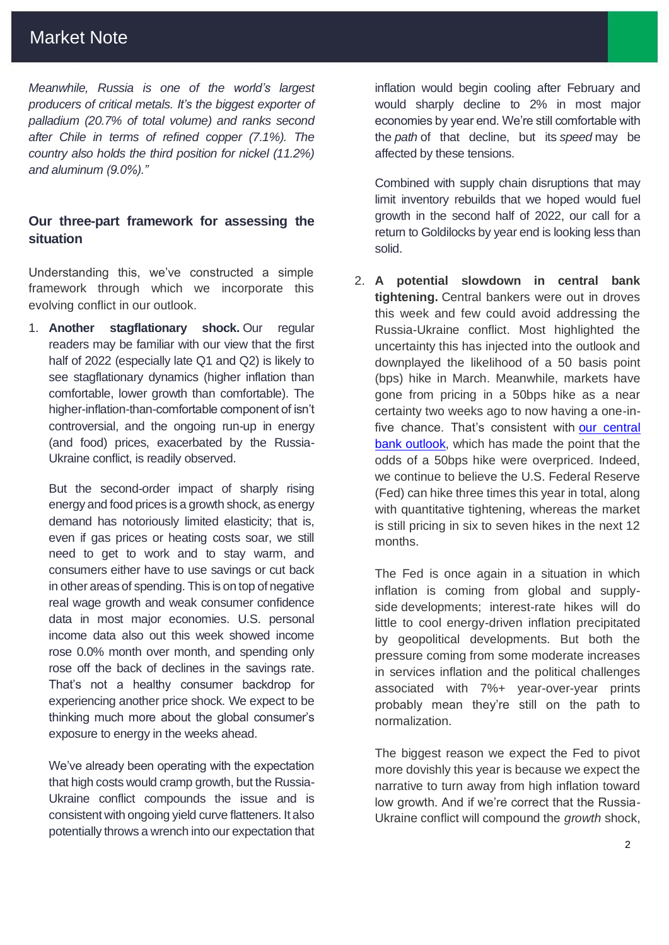## Market Note

*Meanwhile, Russia is one of the world's largest producers of critical metals. It's the biggest exporter of palladium (20.7% of total volume) and ranks second after Chile in terms of refined copper (7.1%). The country also holds the third position for nickel (11.2%) and aluminum (9.0%)."*

## **Our three-part framework for assessing the situation**

Understanding this, we've constructed a simple framework through which we incorporate this evolving conflict in our outlook.

1. **Another stagflationary shock.** Our regular readers may be familiar with our view that the first half of 2022 (especially late Q1 and Q2) is likely to see stagflationary dynamics (higher inflation than comfortable, lower growth than comfortable). The higher-inflation-than-comfortable component of isn't controversial, and the ongoing run-up in energy (and food) prices, exacerbated by the Russia-Ukraine conflict, is readily observed.

But the second-order impact of sharply rising energy and food prices is a growth shock, as energy demand has notoriously limited elasticity; that is, even if gas prices or heating costs soar, we still need to get to work and to stay warm, and consumers either have to use savings or cut back in other areas of spending. This is on top of negative real wage growth and weak consumer confidence data in most major economies. U.S. personal income data also out this week showed income rose 0.0% month over month, and spending only rose off the back of declines in the savings rate. That's not a healthy consumer backdrop for experiencing another price shock. We expect to be thinking much more about the global consumer's exposure to energy in the weeks ahead.

We've already been operating with the expectation that high costs would cramp growth, but the Russia-Ukraine conflict compounds the issue and is consistent with ongoing yield curve flatteners. It also potentially throws a wrench into our expectation that

inflation would begin cooling after February and would sharply decline to 2% in most major economies by year end. We're still comfortable with the *path* of that decline, but its *speed* may be affected by these tensions.

Combined with supply chain disruptions that may limit inventory rebuilds that we hoped would fuel growth in the second half of 2022, our call for a return to Goldilocks by year end is looking less than solid.

2. **A potential slowdown in central bank tightening.** Central bankers were out in droves this week and few could avoid addressing the Russia-Ukraine conflict. Most highlighted the uncertainty this has injected into the outlook and downplayed the likelihood of a 50 basis point (bps) hike in March. Meanwhile, markets have gone from pricing in a 50bps hike as a near certainty two weeks ago to now having a one-infive chance. That's consistent with [our central](https://www.manulifeinvestment.com.my/insights/global-interest-rate-outlook-central-banks-hawkish.html)  [bank outlook,](https://www.manulifeinvestment.com.my/insights/global-interest-rate-outlook-central-banks-hawkish.html) which has made the point that the odds of a 50bps hike were overpriced. Indeed, we continue to believe the U.S. Federal Reserve (Fed) can hike three times this year in total, along with quantitative tightening, whereas the market is still pricing in six to seven hikes in the next 12 months.

The Fed is once again in a situation in which inflation is coming from global and supplyside developments; interest-rate hikes will do little to cool energy-driven inflation precipitated by geopolitical developments. But both the pressure coming from some moderate increases in services inflation and the political challenges associated with 7%+ year-over-year prints probably mean they're still on the path to normalization.

The biggest reason we expect the Fed to pivot more dovishly this year is because we expect the narrative to turn away from high inflation toward low growth. And if we're correct that the Russia-Ukraine conflict will compound the *growth* shock,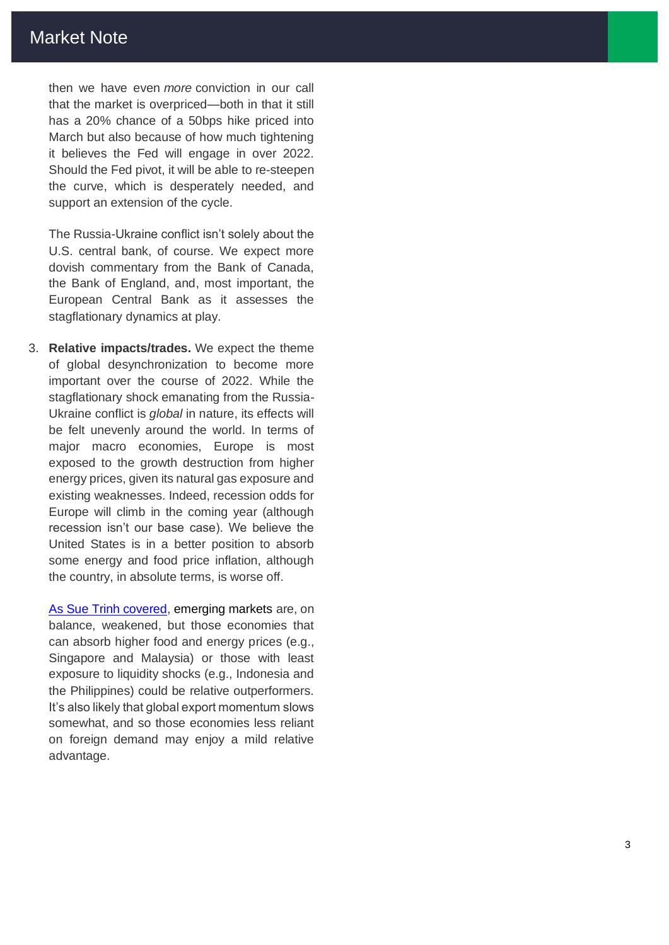then we have even *more* conviction in our call that the market is overpriced —both in that it still has a 20% chance of a 50bps hike priced into March but also because of how much tightening it believes the Fed will engage in over 2022. Should the Fed pivot, it will be able to re -steepen the curve, which is desperately needed, and support an extension of the cycle.

The Russia -Ukraine conflict isn't solely about the U.S. central bank, of course. We expect more dovish commentary from the Bank of Canada, the Bank of England, and, most important, the European Central Bank as it assesses the stagflationary dynamics at play.

3. **Relative impacts/trades.** We expect the theme of global desynchronization to become more important over the course of 2022. While the stagflationary shock emanating from the Russia - Ukraine conflict is *global* in nature, its effects will be felt unevenly around the world. In terms of major macro economies, Europe is most exposed to the growth destruction from higher energy prices, given its natural gas exposure and existing weaknesses. Indeed, recession odds for Europe will climb in the coming year (although recession isn't our base case). We believe the United States is in a better position to absorb some energy and food price inflation, although the country, in absolute terms, is worse off.

[As Sue Trinh covered](https://www.manulifeinvestment.com.my/insights/economic-impact-of-russia-ukraine-conflict.html), emerging markets are, on balance, weakened, but those economies that can absorb higher food and energy prices (e.g., Singapore and Malaysia) or those with least exposure to liquidity shocks (e.g., Indonesia and the Philippines) could be relative outperformers. It's also likely that global export momentum slows somewhat, and so those economies less reliant on foreign demand may enjoy a mild relative advantage.